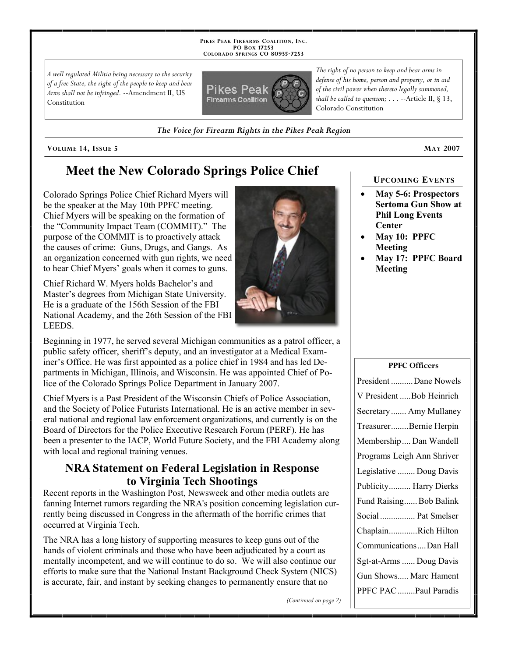**PIKES PEAK FIREARMS COALITION, INC. PO BOX 17253 COLORADO SPRINGS CO 80935 -7253**

*A well regulated Militia being necessary to the security of a free State, the right of the people to keep and bear Arms shall not be infringed.* --Amendment II, US Constitution



*The right of no person to keep and bear arms in defense of his home, person and property, or in aid of the civil power when thereto legally summoned, shall be called to question; . . .* --Article II, § 13, Colorado Constitution

*The Voice for Firearm Rights in the Pikes Peak Region*

**VOLUME 14, ISSUE 5 MAY 2007**

# **Meet the New Colorado Springs Police Chief**

Colorado Springs Police Chief Richard Myers will be the speaker at the May 10th PPFC meeting. Chief Myers will be speaking on the formation of the "Community Impact Team (COMMIT)." The purpose of the COMMIT is to proactively attack the causes of crime: Guns, Drugs, and Gangs. As an organization concerned with gun rights, we need to hear Chief Myers' goals when it comes to guns.

Chief Richard W. Myers holds Bachelor's and Master's degrees from Michigan State University. He is a graduate of the 156th Session of the FBI National Academy, and the 26th Session of the FBI LEEDS.

Beginning in 1977, he served several Michigan communities as a patrol officer, a public safety officer, sheriff's deputy, and an investigator at a Medical Examiner's Office. He was first appointed as a police chief in 1984 and has led Departments in Michigan, Illinois, and Wisconsin. He was appointed Chief of Police of the Colorado Springs Police Department in January 2007.

Chief Myers is a Past President of the Wisconsin Chiefs of Police Association, and the Society of Police Futurists International. He is an active member in several national and regional law enforcement organizations, and currently is on the Board of Directors for the Police Executive Research Forum (PERF). He has been a presenter to the IACP, World Future Society, and the FBI Academy along with local and regional training venues.

## **NRA Statement on Federal Legislation in Response to Virginia Tech Shootings**

Recent reports in the Washington Post, Newsweek and other media outlets are fanning Internet rumors regarding the NRA's position concerning legislation currently being discussed in Congress in the aftermath of the horrific crimes that occurred at Virginia Tech.

The NRA has a long history of supporting measures to keep guns out of the hands of violent criminals and those who have been adjudicated by a court as mentally incompetent, and we will continue to do so. We will also continue our efforts to make sure that the National Instant Background Check System (NICS) is accurate, fair, and instant by seeking changes to permanently ensure that no

**UPCOMING EVENTS**

- **May 5-6: Prospectors Sertoma Gun Show at Phil Long Events Center**
- **May 10: PPFC Meeting**
- **May 17: PPFC Board Meeting**

**PPFC Officers**

| і і ге опісня              |
|----------------------------|
| President Dane Nowels      |
| V President  Bob Heinrich  |
| Secretary Amy Mullaney     |
| TreasurerBernie Herpin     |
| Membership Dan Wandell     |
| Programs Leigh Ann Shriver |
| Legislative  Doug Davis    |
| Publicity Harry Dierks     |
| Fund Raising Bob Balink    |
| Social  Pat Smelser        |
| ChaplainRich Hilton        |
| CommunicationsDan Hall     |
| Sgt-at-Arms  Doug Davis    |
| Gun Shows Marc Hament      |
| PPFC PAC  Paul Paradis     |

*(Continued on page 2)*